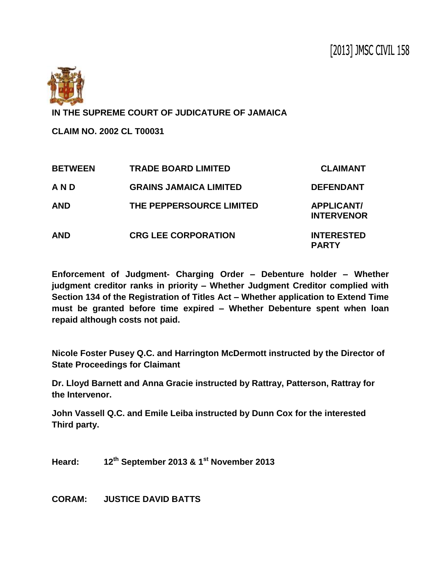

**IN THE SUPREME COURT OF JUDICATURE OF JAMAICA**

**CLAIM NO. 2002 CL T00031**

| <b>BETWEEN</b> | <b>TRADE BOARD LIMITED</b>    | <b>CLAIMANT</b>                        |
|----------------|-------------------------------|----------------------------------------|
| AND            | <b>GRAINS JAMAICA LIMITED</b> | <b>DEFENDANT</b>                       |
| <b>AND</b>     | THE PEPPERSOURCE LIMITED      | <b>APPLICANT/</b><br><b>INTERVENOR</b> |
| <b>AND</b>     | <b>CRG LEE CORPORATION</b>    | <b>INTERESTED</b><br><b>PARTY</b>      |

**Enforcement of Judgment- Charging Order – Debenture holder – Whether judgment creditor ranks in priority – Whether Judgment Creditor complied with Section 134 of the Registration of Titles Act – Whether application to Extend Time must be granted before time expired – Whether Debenture spent when loan repaid although costs not paid.**

**Nicole Foster Pusey Q.C. and Harrington McDermott instructed by the Director of State Proceedings for Claimant**

**Dr. Lloyd Barnett and Anna Gracie instructed by Rattray, Patterson, Rattray for the Intervenor.**

**John Vassell Q.C. and Emile Leiba instructed by Dunn Cox for the interested Third party.**

**Heard: 12th September 2013 & 1st November 2013**

**CORAM: JUSTICE DAVID BATTS**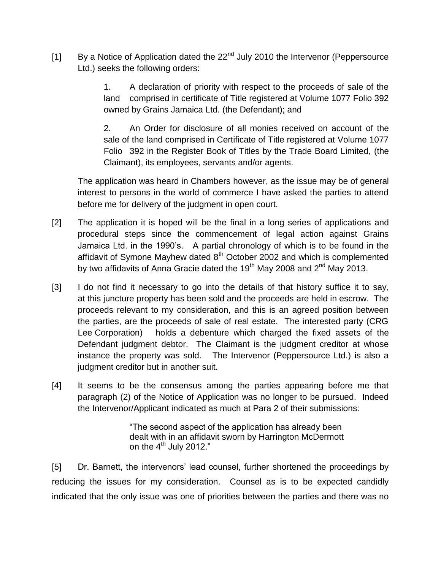[1] By a Notice of Application dated the  $22<sup>nd</sup>$  July 2010 the Intervenor (Peppersource Ltd.) seeks the following orders:

> 1. A declaration of priority with respect to the proceeds of sale of the land comprised in certificate of Title registered at Volume 1077 Folio 392 owned by Grains Jamaica Ltd. (the Defendant); and

> 2. An Order for disclosure of all monies received on account of the sale of the land comprised in Certificate of Title registered at Volume 1077 Folio 392 in the Register Book of Titles by the Trade Board Limited, (the Claimant), its employees, servants and/or agents.

The application was heard in Chambers however, as the issue may be of general interest to persons in the world of commerce I have asked the parties to attend before me for delivery of the judgment in open court.

- [2] The application it is hoped will be the final in a long series of applications and procedural steps since the commencement of legal action against Grains Jamaica Ltd. in the 1990's. A partial chronology of which is to be found in the affidavit of Symone Mayhew dated  $8<sup>th</sup>$  October 2002 and which is complemented by two affidavits of Anna Gracie dated the  $19<sup>th</sup>$  May 2008 and  $2<sup>nd</sup>$  May 2013.
- [3] I do not find it necessary to go into the details of that history suffice it to say, at this juncture property has been sold and the proceeds are held in escrow. The proceeds relevant to my consideration, and this is an agreed position between the parties, are the proceeds of sale of real estate. The interested party (CRG Lee Corporation) holds a debenture which charged the fixed assets of the Defendant judgment debtor. The Claimant is the judgment creditor at whose instance the property was sold. The Intervenor (Peppersource Ltd.) is also a judgment creditor but in another suit.
- [4] It seems to be the consensus among the parties appearing before me that paragraph (2) of the Notice of Application was no longer to be pursued. Indeed the Intervenor/Applicant indicated as much at Para 2 of their submissions:

"The second aspect of the application has already been dealt with in an affidavit sworn by Harrington McDermott on the  $4<sup>th</sup>$  July 2012."

[5] Dr. Barnett, the intervenors' lead counsel, further shortened the proceedings by reducing the issues for my consideration. Counsel as is to be expected candidly indicated that the only issue was one of priorities between the parties and there was no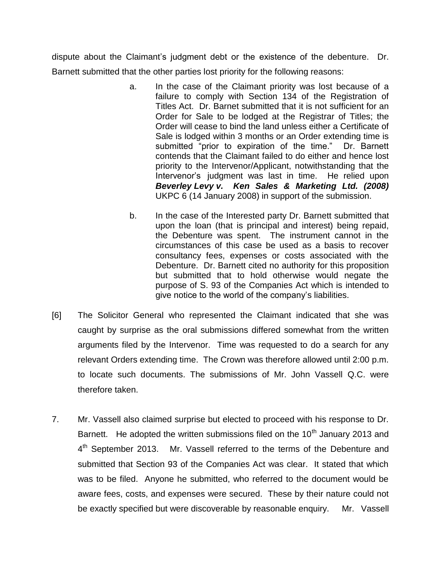dispute about the Claimant's judgment debt or the existence of the debenture. Dr. Barnett submitted that the other parties lost priority for the following reasons:

- a. In the case of the Claimant priority was lost because of a failure to comply with Section 134 of the Registration of Titles Act. Dr. Barnet submitted that it is not sufficient for an Order for Sale to be lodged at the Registrar of Titles; the Order will cease to bind the land unless either a Certificate of Sale is lodged within 3 months or an Order extending time is submitted "prior to expiration of the time." Dr. Barnett contends that the Claimant failed to do either and hence lost priority to the Intervenor/Applicant, notwithstanding that the Intervenor's judgment was last in time. He relied upon *Beverley Levy v. Ken Sales & Marketing Ltd. (2008)* UKPC 6 (14 January 2008) in support of the submission.
- b. In the case of the Interested party Dr. Barnett submitted that upon the loan (that is principal and interest) being repaid, the Debenture was spent. The instrument cannot in the circumstances of this case be used as a basis to recover consultancy fees, expenses or costs associated with the Debenture. Dr. Barnett cited no authority for this proposition but submitted that to hold otherwise would negate the purpose of S. 93 of the Companies Act which is intended to give notice to the world of the company's liabilities.
- [6] The Solicitor General who represented the Claimant indicated that she was caught by surprise as the oral submissions differed somewhat from the written arguments filed by the Intervenor. Time was requested to do a search for any relevant Orders extending time. The Crown was therefore allowed until 2:00 p.m. to locate such documents. The submissions of Mr. John Vassell Q.C. were therefore taken.
- 7. Mr. Vassell also claimed surprise but elected to proceed with his response to Dr. Barnett. He adopted the written submissions filed on the  $10<sup>th</sup>$  January 2013 and 4<sup>th</sup> September 2013. Mr. Vassell referred to the terms of the Debenture and submitted that Section 93 of the Companies Act was clear. It stated that which was to be filed. Anyone he submitted, who referred to the document would be aware fees, costs, and expenses were secured. These by their nature could not be exactly specified but were discoverable by reasonable enquiry. Mr. Vassell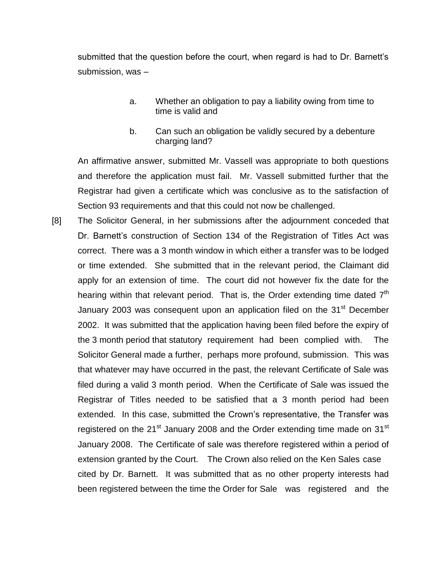submitted that the question before the court, when regard is had to Dr. Barnett's submission, was –

- a. Whether an obligation to pay a liability owing from time to time is valid and
- b. Can such an obligation be validly secured by a debenture charging land?

An affirmative answer, submitted Mr. Vassell was appropriate to both questions and therefore the application must fail. Mr. Vassell submitted further that the Registrar had given a certificate which was conclusive as to the satisfaction of Section 93 requirements and that this could not now be challenged.

[8] The Solicitor General, in her submissions after the adjournment conceded that Dr. Barnett's construction of Section 134 of the Registration of Titles Act was correct. There was a 3 month window in which either a transfer was to be lodged or time extended. She submitted that in the relevant period, the Claimant did apply for an extension of time. The court did not however fix the date for the hearing within that relevant period. That is, the Order extending time dated  $7<sup>th</sup>$ January 2003 was consequent upon an application filed on the 31 $\mathrm{^{st}}$  December 2002. It was submitted that the application having been filed before the expiry of the 3 month period that statutory requirement had been complied with. The Solicitor General made a further, perhaps more profound, submission. This was that whatever may have occurred in the past, the relevant Certificate of Sale was filed during a valid 3 month period. When the Certificate of Sale was issued the Registrar of Titles needed to be satisfied that a 3 month period had been extended. In this case, submitted the Crown's representative, the Transfer was registered on the  $21^{st}$  January 2008 and the Order extending time made on  $31^{st}$ January 2008. The Certificate of sale was therefore registered within a period of extension granted by the Court. The Crown also relied on the Ken Sales case cited by Dr. Barnett. It was submitted that as no other property interests had been registered between the time the Order for Sale was registered and the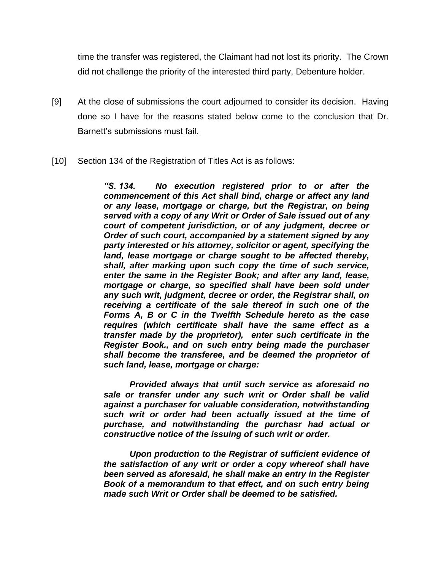time the transfer was registered, the Claimant had not lost its priority. The Crown did not challenge the priority of the interested third party, Debenture holder.

- [9] At the close of submissions the court adjourned to consider its decision. Having done so I have for the reasons stated below come to the conclusion that Dr. Barnett's submissions must fail.
- [10] Section 134 of the Registration of Titles Act is as follows:

*"S. 134. No execution registered prior to or after the commencement of this Act shall bind, charge or affect any land or any lease, mortgage or charge, but the Registrar, on being served with a copy of any Writ or Order of Sale issued out of any court of competent jurisdiction, or of any judgment, decree or Order of such court, accompanied by a statement signed by any party interested or his attorney, solicitor or agent, specifying the land, lease mortgage or charge sought to be affected thereby, shall, after marking upon such copy the time of such service, enter the same in the Register Book; and after any land, lease, mortgage or charge, so specified shall have been sold under any such writ, judgment, decree or order, the Registrar shall, on receiving a certificate of the sale thereof in such one of the Forms A, B or C in the Twelfth Schedule hereto as the case requires (which certificate shall have the same effect as a transfer made by the proprietor), enter such certificate in the Register Book., and on such entry being made the purchaser shall become the transferee, and be deemed the proprietor of such land, lease, mortgage or charge:*

*Provided always that until such service as aforesaid no sale or transfer under any such writ or Order shall be valid against a purchaser for valuable consideration, notwithstanding such writ or order had been actually issued at the time of purchase, and notwithstanding the purchasr had actual or constructive notice of the issuing of such writ or order.*

*Upon production to the Registrar of sufficient evidence of the satisfaction of any writ or order a copy whereof shall have been served as aforesaid, he shall make an entry in the Register Book of a memorandum to that effect, and on such entry being made such Writ or Order shall be deemed to be satisfied.*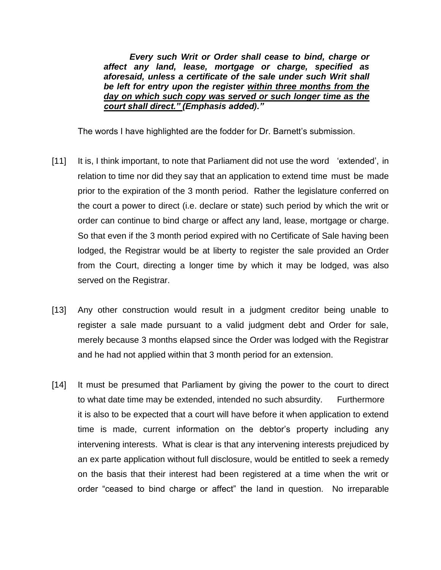*Every such Writ or Order shall cease to bind, charge or affect any land, lease, mortgage or charge, specified as aforesaid, unless a certificate of the sale under such Writ shall be left for entry upon the register within three months from the day on which such copy was served or such longer time as the court shall direct." (Emphasis added)."*

The words I have highlighted are the fodder for Dr. Barnett's submission.

- [11] It is, I think important, to note that Parliament did not use the word 'extended', in relation to time nor did they say that an application to extend time must be made prior to the expiration of the 3 month period. Rather the legislature conferred on the court a power to direct (i.e. declare or state) such period by which the writ or order can continue to bind charge or affect any land, lease, mortgage or charge. So that even if the 3 month period expired with no Certificate of Sale having been lodged, the Registrar would be at liberty to register the sale provided an Order from the Court, directing a longer time by which it may be lodged, was also served on the Registrar.
- [13] Any other construction would result in a judgment creditor being unable to register a sale made pursuant to a valid judgment debt and Order for sale, merely because 3 months elapsed since the Order was lodged with the Registrar and he had not applied within that 3 month period for an extension.
- [14] It must be presumed that Parliament by giving the power to the court to direct to what date time may be extended, intended no such absurdity. Furthermore it is also to be expected that a court will have before it when application to extend time is made, current information on the debtor's property including any intervening interests. What is clear is that any intervening interests prejudiced by an ex parte application without full disclosure, would be entitled to seek a remedy on the basis that their interest had been registered at a time when the writ or order "ceased to bind charge or affect" the land in question. No irreparable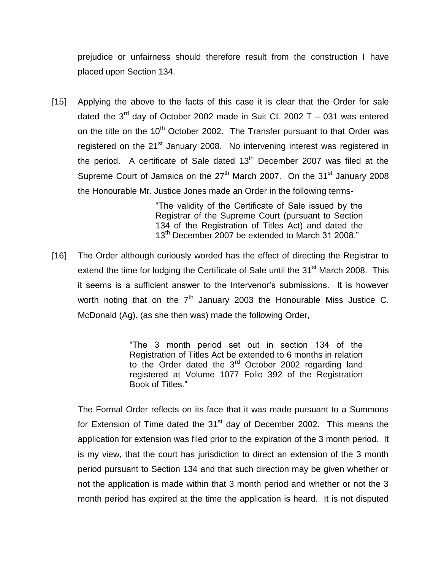prejudice or unfairness should therefore result from the construction I have placed upon Section 134.

[15] Applying the above to the facts of this case it is clear that the Order for sale dated the 3<sup>rd</sup> day of October 2002 made in Suit CL 2002 T  $-$  031 was entered on the title on the  $10<sup>th</sup>$  October 2002. The Transfer pursuant to that Order was registered on the 21<sup>st</sup> January 2008. No intervening interest was registered in the period. A certificate of Sale dated  $13<sup>th</sup>$  December 2007 was filed at the Supreme Court of Jamaica on the  $27<sup>th</sup>$  March 2007. On the  $31<sup>st</sup>$  January 2008 the Honourable Mr. Justice Jones made an Order in the following terms-

> "The validity of the Certificate of Sale issued by the Registrar of the Supreme Court (pursuant to Section 134 of the Registration of Titles Act) and dated the 13<sup>th</sup> December 2007 be extended to March 31 2008."

[16] The Order although curiously worded has the effect of directing the Registrar to extend the time for lodging the Certificate of Sale until the  $31<sup>st</sup>$  March 2008. This it seems is a sufficient answer to the Intervenor's submissions. It is however worth noting that on the  $7<sup>th</sup>$  January 2003 the Honourable Miss Justice C. McDonald (Ag). (as she then was) made the following Order,

> "The 3 month period set out in section 134 of the Registration of Titles Act be extended to 6 months in relation to the Order dated the 3<sup>rd</sup> October 2002 regarding land registered at Volume 1077 Folio 392 of the Registration Book of Titles."

The Formal Order reflects on its face that it was made pursuant to a Summons for Extension of Time dated the  $31<sup>st</sup>$  day of December 2002. This means the application for extension was filed prior to the expiration of the 3 month period. It is my view, that the court has jurisdiction to direct an extension of the 3 month period pursuant to Section 134 and that such direction may be given whether or not the application is made within that 3 month period and whether or not the 3 month period has expired at the time the application is heard. It is not disputed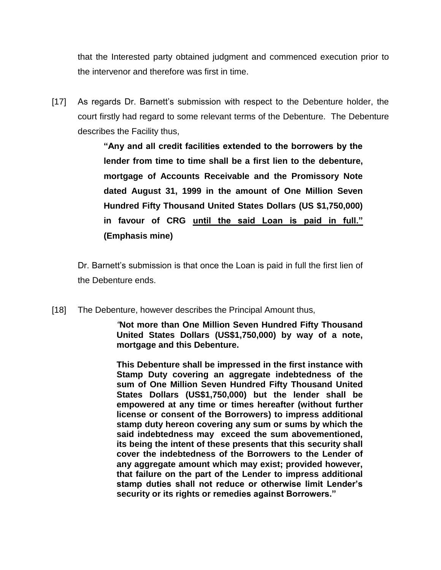that the Interested party obtained judgment and commenced execution prior to the intervenor and therefore was first in time.

[17] As regards Dr. Barnett's submission with respect to the Debenture holder, the court firstly had regard to some relevant terms of the Debenture. The Debenture describes the Facility thus,

> **"Any and all credit facilities extended to the borrowers by the lender from time to time shall be a first lien to the debenture, mortgage of Accounts Receivable and the Promissory Note dated August 31, 1999 in the amount of One Million Seven Hundred Fifty Thousand United States Dollars (US \$1,750,000) in favour of CRG until the said Loan is paid in full." (Emphasis mine)**

Dr. Barnett's submission is that once the Loan is paid in full the first lien of the Debenture ends.

[18] The Debenture, however describes the Principal Amount thus,

*"***Not more than One Million Seven Hundred Fifty Thousand United States Dollars (US\$1,750,000) by way of a note, mortgage and this Debenture.**

**This Debenture shall be impressed in the first instance with Stamp Duty covering an aggregate indebtedness of the sum of One Million Seven Hundred Fifty Thousand United States Dollars (US\$1,750,000) but the lender shall be empowered at any time or times hereafter (without further license or consent of the Borrowers) to impress additional stamp duty hereon covering any sum or sums by which the said indebtedness may exceed the sum abovementioned, its being the intent of these presents that this security shall cover the indebtedness of the Borrowers to the Lender of any aggregate amount which may exist; provided however, that failure on the part of the Lender to impress additional stamp duties shall not reduce or otherwise limit Lender's security or its rights or remedies against Borrowers."**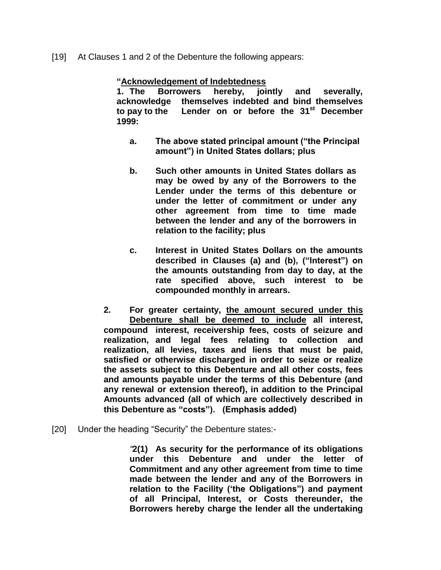[19] At Clauses 1 and 2 of the Debenture the following appears:

## **"Acknowledgement of Indebtedness**

**1. The Borrowers hereby, jointly and severally, acknowledge themselves indebted and bind themselves to pay to the Lender on or before the 31st December 1999:**

- **a. The above stated principal amount ("the Principal amount") in United States dollars; plus**
- **b. Such other amounts in United States dollars as may be owed by any of the Borrowers to the Lender under the terms of this debenture or under the letter of commitment or under any other agreement from time to time made between the lender and any of the borrowers in relation to the facility; plus**
- **c. Interest in United States Dollars on the amounts described in Clauses (a) and (b), ("Interest") on the amounts outstanding from day to day, at the rate specified above, such interest to be compounded monthly in arrears.**

**2. For greater certainty, the amount secured under this Debenture shall be deemed to include all interest, compound interest, receivership fees, costs of seizure and realization, and legal fees relating to collection and realization, all levies, taxes and liens that must be paid, satisfied or otherwise discharged in order to seize or realize the assets subject to this Debenture and all other costs, fees and amounts payable under the terms of this Debenture (and any renewal or extension thereof), in addition to the Principal Amounts advanced (all of which are collectively described in this Debenture as "costs"). (Emphasis added)**

[20] Under the heading "Security" the Debenture states:-

*"***2(1) As security for the performance of its obligations under this Debenture and under the letter of Commitment and any other agreement from time to time made between the lender and any of the Borrowers in relation to the Facility ('the Obligations") and payment of all Principal, Interest, or Costs thereunder, the Borrowers hereby charge the lender all the undertaking**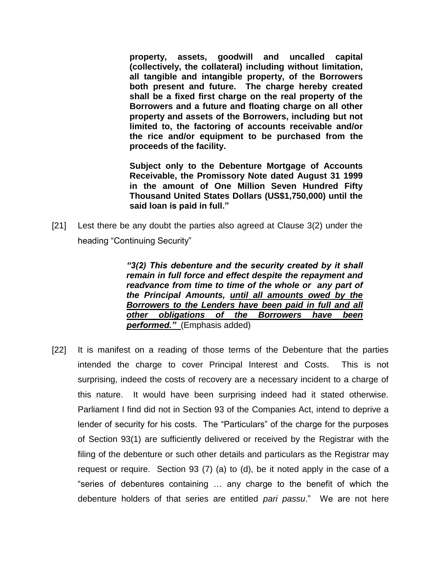**property, assets, goodwill and uncalled capital (collectively, the collateral) including without limitation, all tangible and intangible property, of the Borrowers both present and future. The charge hereby created shall be a fixed first charge on the real property of the Borrowers and a future and floating charge on all other property and assets of the Borrowers, including but not limited to, the factoring of accounts receivable and/or the rice and/or equipment to be purchased from the proceeds of the facility.**

**Subject only to the Debenture Mortgage of Accounts Receivable, the Promissory Note dated August 31 1999 in the amount of One Million Seven Hundred Fifty Thousand United States Dollars (US\$1,750,000) until the said loan is paid in full."**

[21] Lest there be any doubt the parties also agreed at Clause 3(2) under the heading "Continuing Security"

> *"3(2) This debenture and the security created by it shall remain in full force and effect despite the repayment and readvance from time to time of the whole or any part of the Principal Amounts, until all amounts owed by the Borrowers to the Lenders have been paid in full and all other obligations of the Borrowers have been performed."* (Emphasis added)

[22] It is manifest on a reading of those terms of the Debenture that the parties intended the charge to cover Principal Interest and Costs. This is not surprising, indeed the costs of recovery are a necessary incident to a charge of this nature. It would have been surprising indeed had it stated otherwise. Parliament I find did not in Section 93 of the Companies Act, intend to deprive a lender of security for his costs. The "Particulars" of the charge for the purposes of Section 93(1) are sufficiently delivered or received by the Registrar with the filing of the debenture or such other details and particulars as the Registrar may request or require. Section 93 (7) (a) to (d), be it noted apply in the case of a "series of debentures containing … any charge to the benefit of which the debenture holders of that series are entitled *pari passu*." We are not here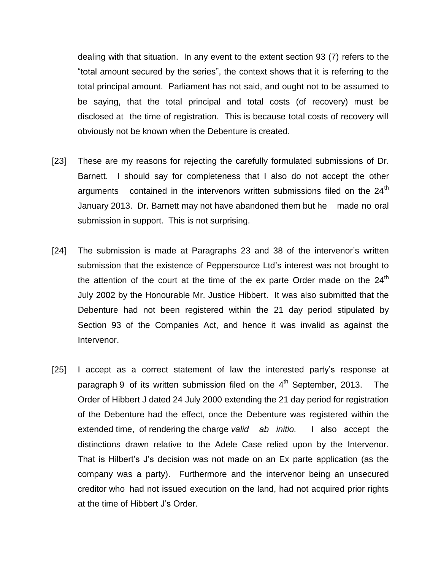dealing with that situation. In any event to the extent section 93 (7) refers to the "total amount secured by the series", the context shows that it is referring to the total principal amount. Parliament has not said, and ought not to be assumed to be saying, that the total principal and total costs (of recovery) must be disclosed at the time of registration. This is because total costs of recovery will obviously not be known when the Debenture is created.

- [23] These are my reasons for rejecting the carefully formulated submissions of Dr. Barnett. I should say for completeness that I also do not accept the other arguments contained in the intervenors written submissions filed on the  $24<sup>th</sup>$ January 2013. Dr. Barnett may not have abandoned them but he made no oral submission in support. This is not surprising.
- [24] The submission is made at Paragraphs 23 and 38 of the intervenor's written submission that the existence of Peppersource Ltd's interest was not brought to the attention of the court at the time of the ex parte Order made on the 24<sup>th</sup> July 2002 by the Honourable Mr. Justice Hibbert. It was also submitted that the Debenture had not been registered within the 21 day period stipulated by Section 93 of the Companies Act, and hence it was invalid as against the Intervenor.
- [25] I accept as a correct statement of law the interested party's response at paragraph 9 of its written submission filed on the 4<sup>th</sup> September, 2013. The Order of Hibbert J dated 24 July 2000 extending the 21 day period for registration of the Debenture had the effect, once the Debenture was registered within the extended time, of rendering the charge *valid ab initio.* I also accept the distinctions drawn relative to the Adele Case relied upon by the Intervenor. That is Hilbert's J's decision was not made on an Ex parte application (as the company was a party). Furthermore and the intervenor being an unsecured creditor who had not issued execution on the land, had not acquired prior rights at the time of Hibbert J's Order.